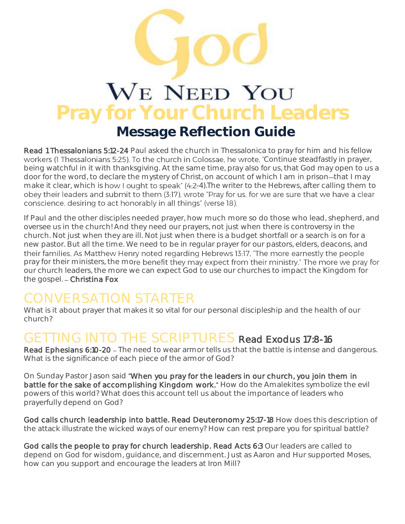## WE NEED YOU **Pray for Your Church Leaders Message Reflection Guide**

Read 1 Thessalonians 5:12-24 Paul asked the church in Thessalonica to pray for him and his fellow workers (1 Thessalonians 5:25). To the church in Colossae, he wrote, "Continue steadfastly in prayer, being watchful in it with thanksgiving. At the same time, pray also for us, that God may open to us a door for the word, to declare the mystery of Christ, on account of which I am in prison-that I may make it clear, which is how I ought to speak" (4:2-4). The writer to the Hebrews, after calling them to obey their leaders and submit to them (3:17), wrote "Pray for us, for we are sure that we have a clear conscience, desiring to act honorably in all things" (verse 18).

If Paul and the other disciples needed prayer, how much more so do those who lead, shepherd, and oversee us in the church! And they need our prayers, not just when there is controversy in the church. Not just when they are ill. Not just when there is a budget shortfall or a search is on for a new pastor. But all the time. We need to be in regular prayer for our pastors, elders, deacons, and their families. As Matthew Henry noted regarding Hebrews 13:17, "The more earnestly the people pray for their ministers, the more benefit they may expect from their ministry." The more we pray for our church leaders, the more we can expect God to use our churches to impact the Kingdom for the gospel. - Christina Fox

## CONVERSATION STARTER

What is it about prayer that makes it so vital for our personal discipleship and the health of our church?

## GETTING INTO THE SCRIPTURES Read Exodus 17:8-16

Read Ephesians 6:10-20 - The need to wear armor tells us that the battle is intense and dangerous. What is the significance of each piece of the armor of God?

On Sunday Pastor Jason said When you pray for the leaders in our church, you join them in battle for the sake of accomplishing Kingdom work." How do the Amalekites symbolize the evil powers of this world? What does this account tell us about the importance of leaders who prayerfully depend on God?

God calls church leadership into battle. Read Deuteronomy 25:17-18 How does this description of the attack illustrate the wicked ways of our enemy? How can rest prepare you for spiritual battle?

God calls the people to pray for church leadership. Read Acts 6:3 Our leaders are called to depend on God for wisdom, guidance, and discernment. Just as Aaron and Hur supported Moses, how can you support and encourage the leaders at Iron Mill?